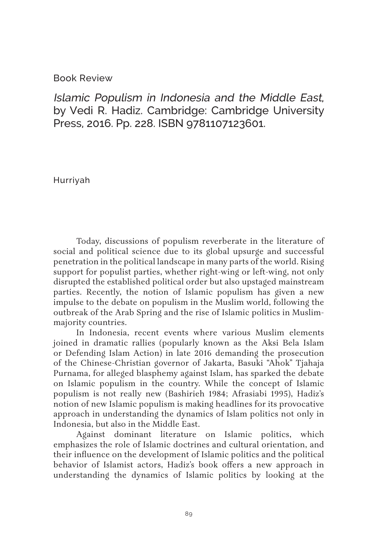## Book Review

Islamic Populism in Indonesia and the Middle East, by Vedi R. Hadiz. Cambridge: Cambridge University Press, 2016. Pp. 228. ISBN 9781107123601.

Hurriyah

Today, discussions of populism reverberate in the literature of social and political science due to its global upsurge and successful penetration in the political landscape in many parts of the world. Rising support for populist parties, whether right-wing or left-wing, not only disrupted the established political order but also upstaged mainstream parties. Recently, the notion of Islamic populism has given a new impulse to the debate on populism in the Muslim world, following the outbreak of the Arab Spring and the rise of Islamic politics in Muslimmajority countries.

In Indonesia, recent events where various Muslim elements joined in dramatic rallies (popularly known as the Aksi Bela Islam or Defending Islam Action) in late 2016 demanding the prosecution of the Chinese-Christian governor of Jakarta, Basuki "Ahok" Tjahaja Purnama, for alleged blasphemy against Islam, has sparked the debate on Islamic populism in the country. While the concept of Islamic populism is not really new (Bashirieh 1984; Afrasiabi 1995), Hadiz's notion of new Islamic populism is making headlines for its provocative approach in understanding the dynamics of Islam politics not only in Indonesia, but also in the Middle East.

Against dominant literature on Islamic politics, which emphasizes the role of Islamic doctrines and cultural orientation, and their influence on the development of Islamic politics and the political behavior of Islamist actors, Hadiz's book offers a new approach in understanding the dynamics of Islamic politics by looking at the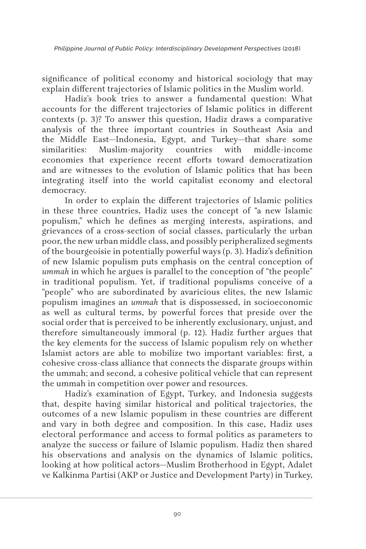significance of political economy and historical sociology that may explain different trajectories of Islamic politics in the Muslim world.

Hadiz's book tries to answer a fundamental question: What accounts for the different trajectories of Islamic politics in different contexts (p. 3)? To answer this question, Hadiz draws a comparative analysis of the three important countries in Southeast Asia and the Middle East—Indonesia, Egypt, and Turkey—that share some similarities: Muslim-majority countries with middle-income economies that experience recent efforts toward democratization and are witnesses to the evolution of Islamic politics that has been integrating itself into the world capitalist economy and electoral democracy.

In order to explain the different trajectories of Islamic politics in these three countries, Hadiz uses the concept of "a new Islamic populism," which he defines as merging interests, aspirations, and grievances of a cross-section of social classes, particularly the urban poor, the new urban middle class, and possibly peripheralized segments of the bourgeoisie in potentially powerful ways (p. 3). Hadiz's definition of new Islamic populism puts emphasis on the central conception of *ummah* in which he argues is parallel to the conception of "the people" in traditional populism. Yet, if traditional populisms conceive of a "people" who are subordinated by avaricious elites, the new Islamic populism imagines an *ummah* that is dispossessed, in socioeconomic as well as cultural terms, by powerful forces that preside over the social order that is perceived to be inherently exclusionary, unjust, and therefore simultaneously immoral (p. 12). Hadiz further argues that the key elements for the success of Islamic populism rely on whether Islamist actors are able to mobilize two important variables: first*,* a cohesive cross-class alliance that connects the disparate groups within the ummah; and second*,* a cohesive political vehicle that can represent the ummah in competition over power and resources.

Hadiz's examination of Egypt, Turkey, and Indonesia suggests that, despite having similar historical and political trajectories, the outcomes of a new Islamic populism in these countries are different and vary in both degree and composition. In this case, Hadiz uses electoral performance and access to formal politics as parameters to analyze the success or failure of Islamic populism. Hadiz then shared his observations and analysis on the dynamics of Islamic politics, looking at how political actors—Muslim Brotherhood in Egypt, Adalet ve Kalkinma Partisi (AKP or Justice and Development Party) in Turkey,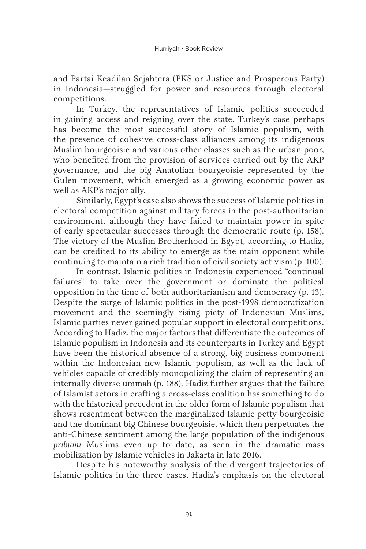and Partai Keadilan Sejahtera (PKS or Justice and Prosperous Party) in Indonesia—struggled for power and resources through electoral competitions.

In Turkey, the representatives of Islamic politics succeeded in gaining access and reigning over the state. Turkey's case perhaps has become the most successful story of Islamic populism, with the presence of cohesive cross-class alliances among its indigenous Muslim bourgeoisie and various other classes such as the urban poor, who benefited from the provision of services carried out by the AKP governance, and the big Anatolian bourgeoisie represented by the Gulen movement, which emerged as a growing economic power as well as AKP's major ally.

Similarly, Egypt's case also shows the success of Islamic politics in electoral competition against military forces in the post-authoritarian environment, although they have failed to maintain power in spite of early spectacular successes through the democratic route (p. 158). The victory of the Muslim Brotherhood in Egypt, according to Hadiz, can be credited to its ability to emerge as the main opponent while continuing to maintain a rich tradition of civil society activism (p. 100).

In contrast, Islamic politics in Indonesia experienced "continual failures" to take over the government or dominate the political opposition in the time of both authoritarianism and democracy (p. 13). Despite the surge of Islamic politics in the post-1998 democratization movement and the seemingly rising piety of Indonesian Muslims, Islamic parties never gained popular support in electoral competitions. According to Hadiz, the major factors that differentiate the outcomes of Islamic populism in Indonesia and its counterparts in Turkey and Egypt have been the historical absence of a strong, big business component within the Indonesian new Islamic populism, as well as the lack of vehicles capable of credibly monopolizing the claim of representing an internally diverse ummah (p. 188). Hadiz further argues that the failure of Islamist actors in crafting a cross-class coalition has something to do with the historical precedent in the older form of Islamic populism that shows resentment between the marginalized Islamic petty bourgeoisie and the dominant big Chinese bourgeoisie, which then perpetuates the anti-Chinese sentiment among the large population of the indigenous *pribumi* Muslims even up to date, as seen in the dramatic mass mobilization by Islamic vehicles in Jakarta in late 2016.

Despite his noteworthy analysis of the divergent trajectories of Islamic politics in the three cases, Hadiz's emphasis on the electoral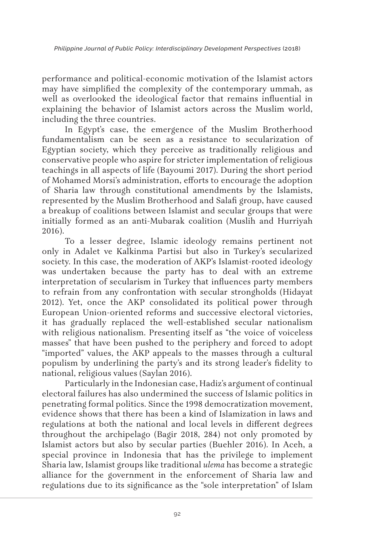performance and political-economic motivation of the Islamist actors may have simplified the complexity of the contemporary ummah, as well as overlooked the ideological factor that remains influential in explaining the behavior of Islamist actors across the Muslim world, including the three countries.

In Egypt's case, the emergence of the Muslim Brotherhood fundamentalism can be seen as a resistance to secularization of Egyptian society, which they perceive as traditionally religious and conservative people who aspire for stricter implementation of religious teachings in all aspects of life (Bayoumi 2017). During the short period of Mohamed Morsi's administration, efforts to encourage the adoption of Sharia law through constitutional amendments by the Islamists, represented by the Muslim Brotherhood and Salafi group, have caused a breakup of coalitions between Islamist and secular groups that were initially formed as an anti-Mubarak coalition (Muslih and Hurriyah 2016).

To a lesser degree, Islamic ideology remains pertinent not only in Adalet ve Kalkinma Partisi but also in Turkey's secularized society. In this case, the moderation of AKP's Islamist-rooted ideology was undertaken because the party has to deal with an extreme interpretation of secularism in Turkey that influences party members to refrain from any confrontation with secular strongholds (Hidayat 2012). Yet, once the AKP consolidated its political power through European Union-oriented reforms and successive electoral victories, it has gradually replaced the well-established secular nationalism with religious nationalism. Presenting itself as "the voice of voiceless masses" that have been pushed to the periphery and forced to adopt "imported" values, the AKP appeals to the masses through a cultural populism by underlining the party's and its strong leader's fidelity to national, religious values (Saylan 2016).

Particularly in the Indonesian case, Hadiz's argument of continual electoral failures has also undermined the success of Islamic politics in penetrating formal politics. Since the 1998 democratization movement, evidence shows that there has been a kind of Islamization in laws and regulations at both the national and local levels in different degrees throughout the archipelago (Bagir 2018, 284) not only promoted by Islamist actors but also by secular parties (Buehler 2016). In Aceh, a special province in Indonesia that has the privilege to implement Sharia law, Islamist groups like traditional *ulema* has become a strategic alliance for the government in the enforcement of Sharia law and regulations due to its significance as the "sole interpretation" of Islam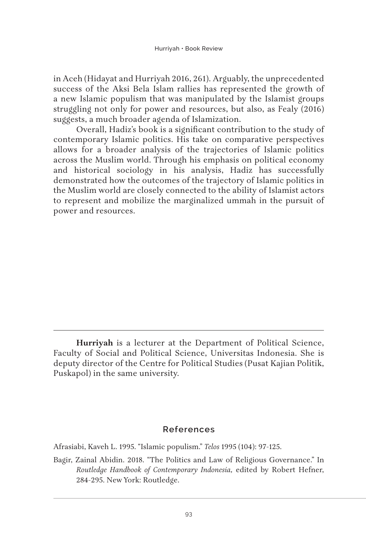in Aceh (Hidayat and Hurriyah 2016, 261). Arguably, the unprecedented success of the Aksi Bela Islam rallies has represented the growth of a new Islamic populism that was manipulated by the Islamist groups struggling not only for power and resources, but also, as Fealy (2016) suggests, a much broader agenda of Islamization.

Overall, Hadiz's book is a significant contribution to the study of contemporary Islamic politics. His take on comparative perspectives allows for a broader analysis of the trajectories of Islamic politics across the Muslim world. Through his emphasis on political economy and historical sociology in his analysis, Hadiz has successfully demonstrated how the outcomes of the trajectory of Islamic politics in the Muslim world are closely connected to the ability of Islamist actors to represent and mobilize the marginalized ummah in the pursuit of power and resources.

## **References**

Afrasiabi, Kaveh L. 1995. "Islamic populism." *Telos* 1995 (104): 97-125.

**Hurriyah** is a lecturer at the Department of Political Science, Faculty of Social and Political Science, Universitas Indonesia. She is deputy director of the Centre for Political Studies (Pusat Kajian Politik, Puskapol) in the same university.

Bagir, Zainal Abidin. 2018. "The Politics and Law of Religious Governance." In *Routledge Handbook of Contemporary Indonesia,* edited by Robert Hefner, 284-295. New York: Routledge.